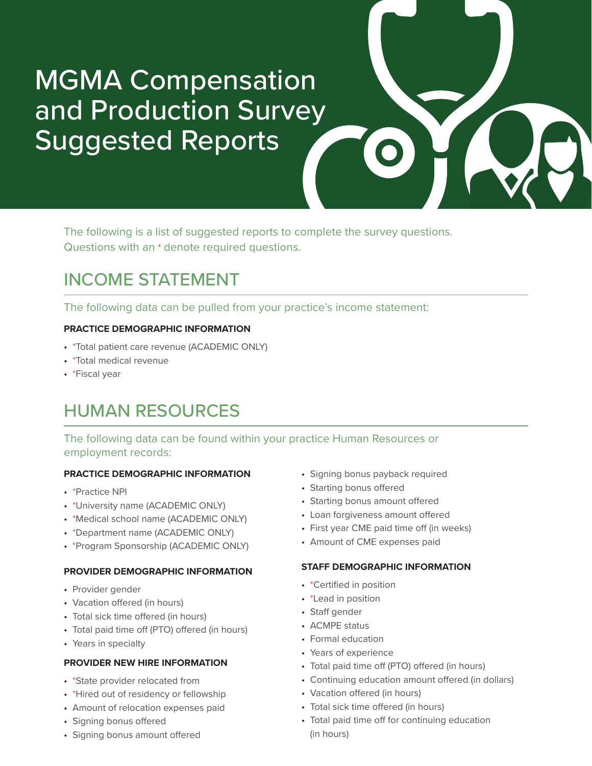# MGMA Compensation and Production Survey Suggested Reports



The following is a list of suggested reports to complete the survey questions. Questions with an \* denote required questions.

# INCOME STATEMENT

The following data can be pulled from your practice's income statement:

### **PRACTICE DEMOGRAPHIC INFORMATION**

- \*Total patient care revenue (ACADEMIC ONLY)
- \*Total medical revenue
- \*Fiscal year

# HUMAN RESOURCES

The following data can be found within your practice Human Resources or employment records:

### **PRACTICE DEMOGRAPHIC INFORMATION**

- \*Practice NPI
- \*University name (ACADEMIC ONLY)
- \*Medical school name (ACADEMIC ONLY)
- \*Department name (ACADEMIC ONLY)
- \*Program Sponsorship (ACADEMIC ONLY)

#### **PROVIDER DEMOGRAPHIC INFORMATION**

- Provider gender
- Vacation offered (in hours)
- Total sick time offered (in hours)
- Total paid time off (PTO) offered (in hours)
- Years in specialty

### **PROVIDER NEW HIRE INFORMATION**

- \*State provider relocated from
- \*Hired out of residency or fellowship
- Amount of relocation expenses paid
- Signing bonus offered
- Signing bonus amount offered
- Signing bonus payback required
- Starting bonus offered
- Starting bonus amount offered
- Loan forgiveness amount offered
- First year CME paid time off (in weeks)
- Amount of CME expenses paid

#### **STAFF DEMOGRAPHIC INFORMATION**

- \*Certified in position
- \*Lead in position
- Staff gender
- ACMPE status
- Formal education
- Years of experience
- Total paid time off (PTO) offered (in hours)
- Continuing education amount offered (in dollars)
- Vacation offered (in hours)
- Total sick time offered (in hours)
- Total paid time off for continuing education (in hours)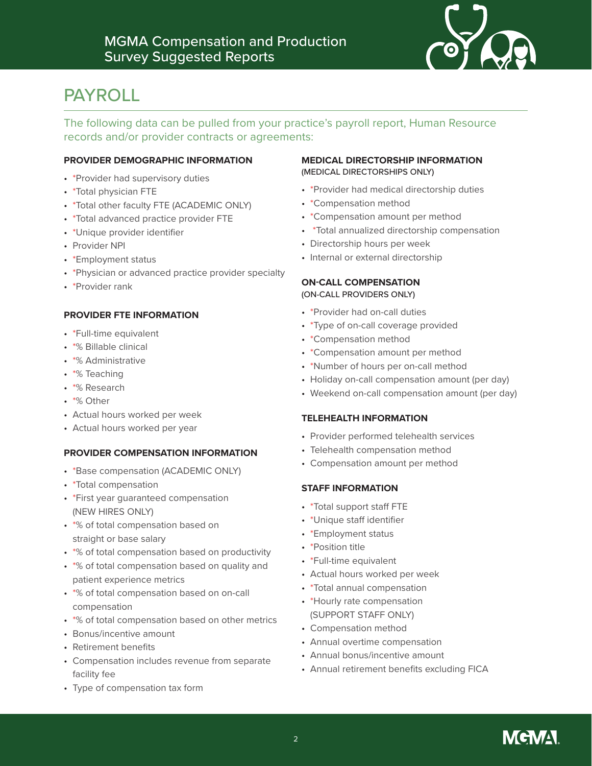

# PAYROLL

The following data can be pulled from your practice's payroll report, Human Resource records and/or provider contracts or agreements:

#### **PROVIDER DEMOGRAPHIC INFORMATION**

- \*Provider had supervisory duties
- \*Total physician FTE
- \*Total other faculty FTE (ACADEMIC ONLY)
- \*Total advanced practice provider FTE
- \*Unique provider identifier
- Provider NPI
- \*Employment status
- \*Physician or advanced practice provider specialty
- \*Provider rank

#### **PROVIDER FTE INFORMATION**

- \*Full-time equivalent
- \*% Billable clinical
- \*% Administrative
- \*% Teaching
- \*% Research
- \*% Other
- Actual hours worked per week
- Actual hours worked per year

#### **PROVIDER COMPENSATION INFORMATION**

- \*Base compensation (ACADEMIC ONLY)
- \*Total compensation
- \*First year guaranteed compensation (NEW HIRES ONLY)
- \*% of total compensation based on straight or base salary
- \*% of total compensation based on productivity
- \*% of total compensation based on quality and patient experience metrics
- \*% of total compensation based on on-call compensation
- \*% of total compensation based on other metrics
- Bonus/incentive amount
- Retirement benefits
- Compensation includes revenue from separate facility fee
- Type of compensation tax form

#### **MEDICAL DIRECTORSHIP INFORMATION**  (MEDICAL DIRECTORSHIPS ONLY)

- \*Provider had medical directorship duties
- \*Compensation method
- \*Compensation amount per method
- \*Total annualized directorship compensation
- Directorship hours per week
- Internal or external directorship

#### **ON-CALL COMPENSATION** (ON-CALL PROVIDERS ONLY)

- \*Provider had on-call duties
- \*Type of on-call coverage provided
- \*Compensation method
- \*Compensation amount per method
- \*Number of hours per on-call method
- Holiday on-call compensation amount (per day)
- Weekend on-call compensation amount (per day)

#### **TELEHEALTH INFORMATION**

- Provider performed telehealth services
- Telehealth compensation method
- Compensation amount per method

#### **STAFF INFORMATION**

- \*Total support staff FTE
- \*Unique staff identifier
- \*Employment status
- \*Position title
- \*Full-time equivalent
- Actual hours worked per week
- \*Total annual compensation
- \*Hourly rate compensation (SUPPORT STAFF ONLY)
- Compensation method
- Annual overtime compensation
- Annual bonus/incentive amount
- Annual retirement benefits excluding FICA